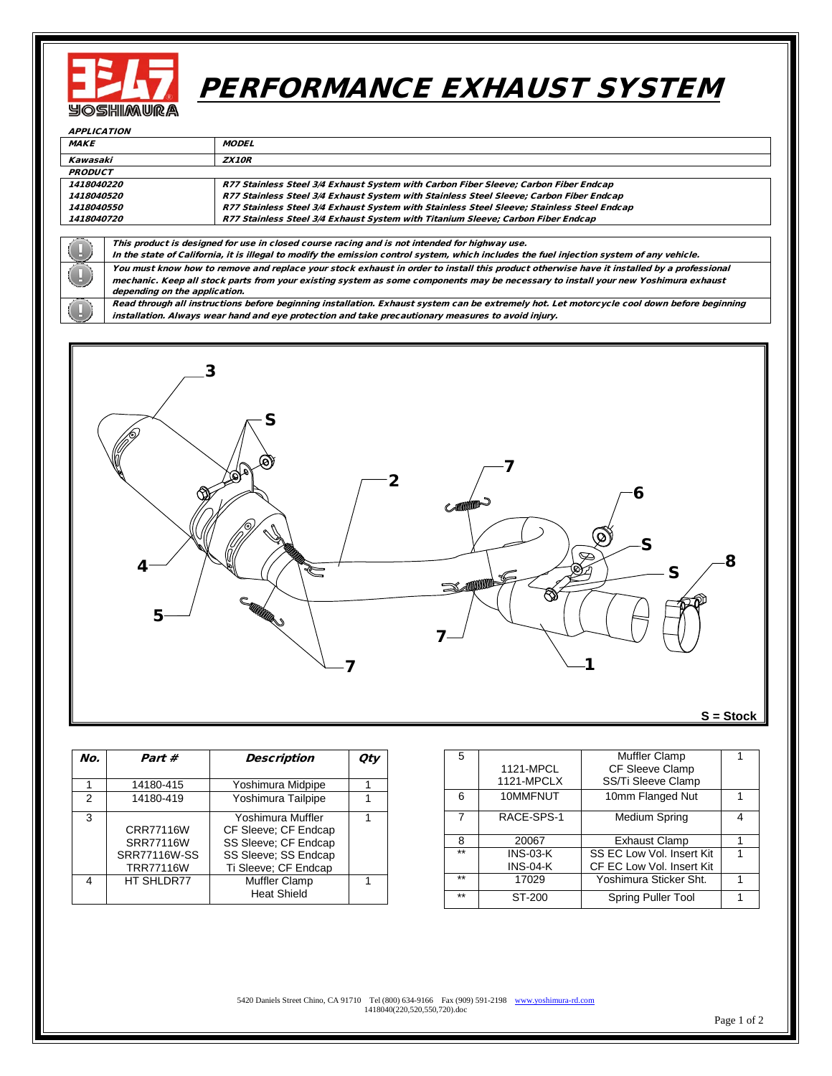

## PERFORMANCE EXHAUST SYSTEM

| <b>APPLICATION</b>       |                                                                                                                                             |                                                                                            |  |  |  |  |
|--------------------------|---------------------------------------------------------------------------------------------------------------------------------------------|--------------------------------------------------------------------------------------------|--|--|--|--|
| <b>MAKE</b>              |                                                                                                                                             | <b>MODEL</b>                                                                               |  |  |  |  |
| Kawasaki                 |                                                                                                                                             | <b>ZX10R</b>                                                                               |  |  |  |  |
| PRODUCT                  |                                                                                                                                             |                                                                                            |  |  |  |  |
| 1418040220               |                                                                                                                                             | R77 Stainless Steel 3/4 Exhaust System with Carbon Fiber Sleeve; Carbon Fiber Endcap       |  |  |  |  |
| <i><b>1418040520</b></i> |                                                                                                                                             | R77 Stainless Steel 3/4 Exhaust System with Stainless Steel Sleeve; Carbon Fiber Endcap    |  |  |  |  |
| 1418040550               |                                                                                                                                             | R77 Stainless Steel 3/4 Exhaust System with Stainless Steel Sleeve; Stainless Steel Endcap |  |  |  |  |
| 1418040720               |                                                                                                                                             | R77 Stainless Steel 3/4 Exhaust System with Titanium Sleeve; Carbon Fiber Endcap           |  |  |  |  |
|                          |                                                                                                                                             |                                                                                            |  |  |  |  |
|                          | This product is designed for use in closed course racing and is not intended for highway use.                                               |                                                                                            |  |  |  |  |
|                          | In the state of California, it is illegal to modify the emission control system, which includes the fuel injection system of any vehicle.   |                                                                                            |  |  |  |  |
| $\Box$                   | You must know how to remove and replace your stock exhaust in order to install this product otherwise have it installed by a professional   |                                                                                            |  |  |  |  |
|                          | mechanic. Keep all stock parts from your existing system as some components may be necessary to install your new Yoshimura exhaust          |                                                                                            |  |  |  |  |
|                          | depending on the application.                                                                                                               |                                                                                            |  |  |  |  |
|                          | Read through all instructions before beginning installation. Exhaust system can be extremely hot. Let motorcycle cool down before beginning |                                                                                            |  |  |  |  |
|                          | installation. Always wear hand and eye protection and take precautionary measures to avoid injury.                                          |                                                                                            |  |  |  |  |



**S = Stock**

| No. | Part #                                                            | <b>Description</b>                                                                                                | Οtι |
|-----|-------------------------------------------------------------------|-------------------------------------------------------------------------------------------------------------------|-----|
|     | 14180-415                                                         | Yoshimura Midpipe                                                                                                 |     |
| 2   | 14180-419                                                         | Yoshimura Tailpipe                                                                                                |     |
| 3   | CRR77116W<br>SRR77116W<br><b>SRR77116W-SS</b><br><b>TRR77116W</b> | Yoshimura Muffler<br>CF Sleeve: CF Endcap<br>SS Sleeve: CF Endcap<br>SS Sleeve: SS Endcap<br>Ti Sleeve; CF Endcap |     |
| 4   | HT SHLDR77                                                        | Muffler Clamp<br><b>Heat Shield</b>                                                                               |     |

| 5     |                 | <b>Muffler Clamp</b>      |   |
|-------|-----------------|---------------------------|---|
|       | 1121-MPCL       | CF Sleeve Clamp           |   |
|       | 1121-MPCLX      | SS/Ti Sleeve Clamp        |   |
| 6     | 10MMFNUT        | 10mm Flanged Nut          |   |
| 7     | RACE-SPS-1      | Medium Spring             | 4 |
| 8     | 20067           | <b>Exhaust Clamp</b>      |   |
| $***$ | $INS-03-K$      | SS EC Low Vol. Insert Kit |   |
|       | <b>INS-04-K</b> | CF EC Low Vol. Insert Kit |   |
| $**$  | 17029           | Yoshimura Sticker Sht.    |   |
| $**$  | ST-200          | Spring Puller Tool        |   |

5420 Daniels Street Chino, CA 91710 Tel (800) 634-9166 Fax (909) 591-2198 [www.yoshimura-rd.com](http://www.yoshimura-rd.com/) 1418040(220,520,550,720).doc